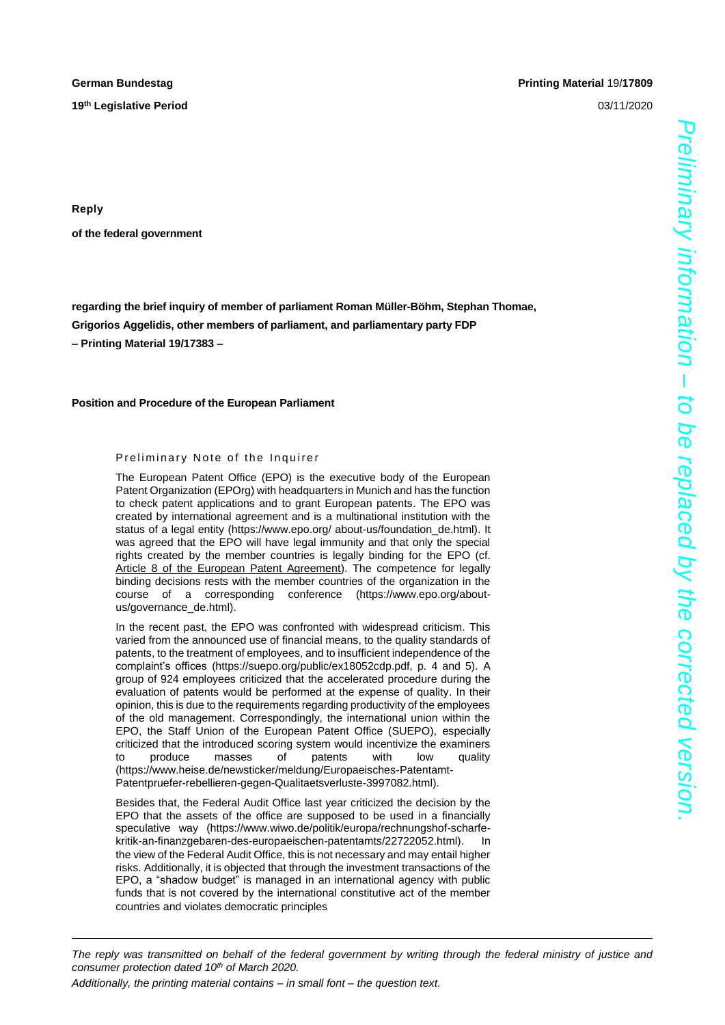**19 th Legislative Period** 03/11/2020

## **German Bundestag Printing Material** 19/**17809**

**Reply**

**of the federal government**

**regarding the brief inquiry of member of parliament Roman Müller-Böhm, Stephan Thomae, Grigorios Aggelidis, other members of parliament, and parliamentary party FDP – Printing Material 19/17383 –**

## **Position and Procedure of the European Parliament**

## Preliminary Note of the Inquirer

The European Patent Office (EPO) is the executive body of the European Patent Organization (EPOrg) with headquarters in Munich and has the function to check patent applications and to grant European patents. The EPO was created by international agreement and is a multinational institution with the status of a legal entity (https://www.epo.org/ about-us/foundation\_de.html). It was agreed that the EPO will have legal immunity and that only the special rights created by the member countries is legally binding for the EPO (cf. Article 8 of the European Patent Agreement). The competence for legally binding decisions rests with the member countries of the organization in the course of a corresponding conference (https://www.epo.org/aboutus/governance\_de.html).

In the recent past, the EPO was confronted with widespread criticism. This varied from the announced use of financial means, to the quality standards of patents, to the treatment of employees, and to insufficient independence of the complaint's offices (https://suepo.org/public/ex18052cdp.pdf, p. 4 and 5). A group of 924 employees criticized that the accelerated procedure during the evaluation of patents would be performed at the expense of quality. In their opinion, this is due to the requirements regarding productivity of the employees of the old management. Correspondingly, the international union within the EPO, the Staff Union of the European Patent Office (SUEPO), especially criticized that the introduced scoring system would incentivize the examiners to produce masses of patents with low quality (https://www.heise.de/newsticker/meldung/Europaeisches-Patentamt-Patentpruefer-rebellieren-gegen-Qualitaetsverluste-3997082.html).

Besides that, the Federal Audit Office last year criticized the decision by the EPO that the assets of the office are supposed to be used in a financially speculative way (https://www.wiwo.de/politik/europa/rechnungshof-scharfekritik-an-finanzgebaren-des-europaeischen-patentamts/22722052.html). In the view of the Federal Audit Office, this is not necessary and may entail higher risks. Additionally, it is objected that through the investment transactions of the EPO, a "shadow budget" is managed in an international agency with public funds that is not covered by the international constitutive act of the member countries and violates democratic principles

*Preliminary information – to be replaced by the corrected version.*

*The reply was transmitted on behalf of the federal government by writing through the federal ministry of justice and consumer protection dated 10th of March 2020.*

*Additionally, the printing material contains – in small font – the question text.*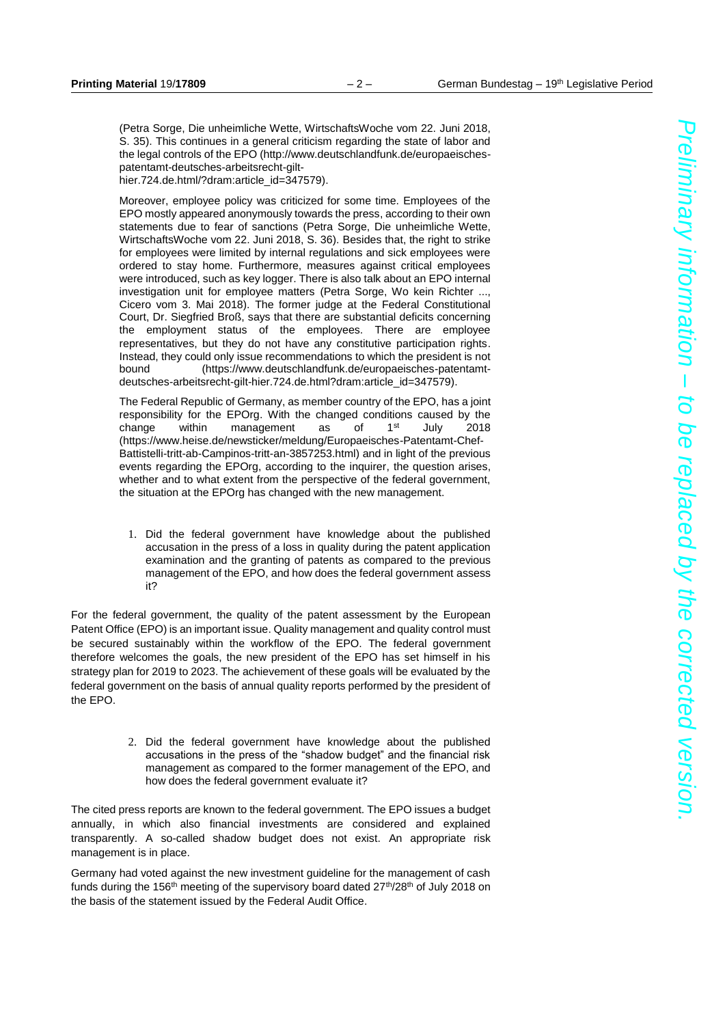(Petra Sorge, Die unheimliche Wette, WirtschaftsWoche vom 22. Juni 2018, S. 35). This continues in a general criticism regarding the state of labor and the legal controls of the EPO (http://www.deutschlandfunk.de/europaeischespatentamt-deutsches-arbeitsrecht-gilthier.724.de.html/?dram:article\_id=347579).

Moreover, employee policy was criticized for some time. Employees of the EPO mostly appeared anonymously towards the press, according to their own statements due to fear of sanctions (Petra Sorge, Die unheimliche Wette, WirtschaftsWoche vom 22. Juni 2018, S. 36). Besides that, the right to strike for employees were limited by internal regulations and sick employees were ordered to stay home. Furthermore, measures against critical employees were introduced, such as key logger. There is also talk about an EPO internal investigation unit for employee matters (Petra Sorge, Wo kein Richter ..., Cicero vom 3. Mai 2018). The former judge at the Federal Constitutional Court, Dr. Siegfried Broß, says that there are substantial deficits concerning the employment status of the employees. There are employee representatives, but they do not have any constitutive participation rights. Instead, they could only issue recommendations to which the president is not bound (https://www.deutschlandfunk.de/europaeisches-patentamtdeutsches-arbeitsrecht-gilt-hier.724.de.html?dram:article\_id=347579).

The Federal Republic of Germany, as member country of the EPO, has a joint responsibility for the EPOrg. With the changed conditions caused by the change within management as of 1<sup>st</sup> July 2018 (https://www.heise.de/newsticker/meldung/Europaeisches-Patentamt-Chef-Battistelli-tritt-ab-Campinos-tritt-an-3857253.html) and in light of the previous events regarding the EPOrg, according to the inquirer, the question arises, whether and to what extent from the perspective of the federal government, the situation at the EPOrg has changed with the new management.

1. Did the federal government have knowledge about the published accusation in the press of a loss in quality during the patent application examination and the granting of patents as compared to the previous management of the EPO, and how does the federal government assess it?

For the federal government, the quality of the patent assessment by the European Patent Office (EPO) is an important issue. Quality management and quality control must be secured sustainably within the workflow of the EPO. The federal government therefore welcomes the goals, the new president of the EPO has set himself in his strategy plan for 2019 to 2023. The achievement of these goals will be evaluated by the federal government on the basis of annual quality reports performed by the president of the EPO.

> 2. Did the federal government have knowledge about the published accusations in the press of the "shadow budget" and the financial risk management as compared to the former management of the EPO, and how does the federal government evaluate it?

The cited press reports are known to the federal government. The EPO issues a budget annually, in which also financial investments are considered and explained transparently. A so-called shadow budget does not exist. An appropriate risk management is in place.

Germany had voted against the new investment guideline for the management of cash funds during the 156<sup>th</sup> meeting of the supervisory board dated  $27<sup>th</sup>/28<sup>th</sup>$  of July 2018 on the basis of the statement issued by the Federal Audit Office.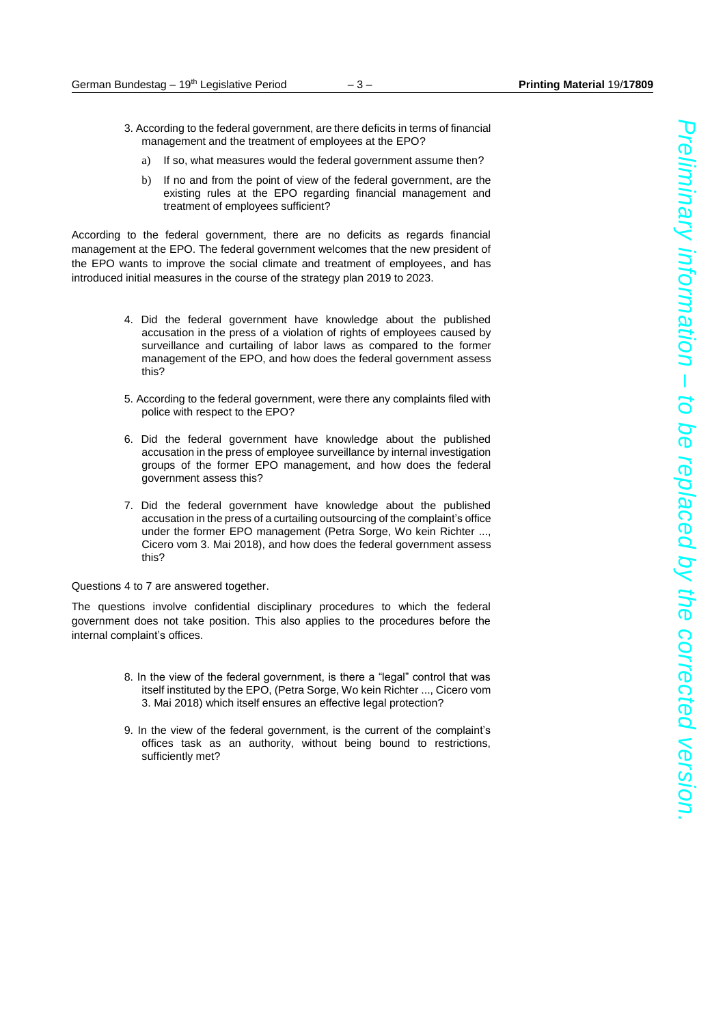- 3. According to the federal government, are there deficits in terms of financial management and the treatment of employees at the EPO?
	- a) If so, what measures would the federal government assume then?
	- b) If no and from the point of view of the federal government, are the existing rules at the EPO regarding financial management and treatment of employees sufficient?

According to the federal government, there are no deficits as regards financial management at the EPO. The federal government welcomes that the new president of the EPO wants to improve the social climate and treatment of employees, and has introduced initial measures in the course of the strategy plan 2019 to 2023.

- 4. Did the federal government have knowledge about the published accusation in the press of a violation of rights of employees caused by surveillance and curtailing of labor laws as compared to the former management of the EPO, and how does the federal government assess this?
- 5. According to the federal government, were there any complaints filed with police with respect to the EPO?
- 6. Did the federal government have knowledge about the published accusation in the press of employee surveillance by internal investigation groups of the former EPO management, and how does the federal government assess this?
- 7. Did the federal government have knowledge about the published accusation in the press of a curtailing outsourcing of the complaint's office under the former EPO management (Petra Sorge, Wo kein Richter ..., Cicero vom 3. Mai 2018), and how does the federal government assess this?

Questions 4 to 7 are answered together.

The questions involve confidential disciplinary procedures to which the federal government does not take position. This also applies to the procedures before the internal complaint's offices.

- 8. In the view of the federal government, is there a "legal" control that was itself instituted by the EPO, (Petra Sorge, Wo kein Richter ..., Cicero vom 3. Mai 2018) which itself ensures an effective legal protection?
- 9. In the view of the federal government, is the current of the complaint's offices task as an authority, without being bound to restrictions, sufficiently met?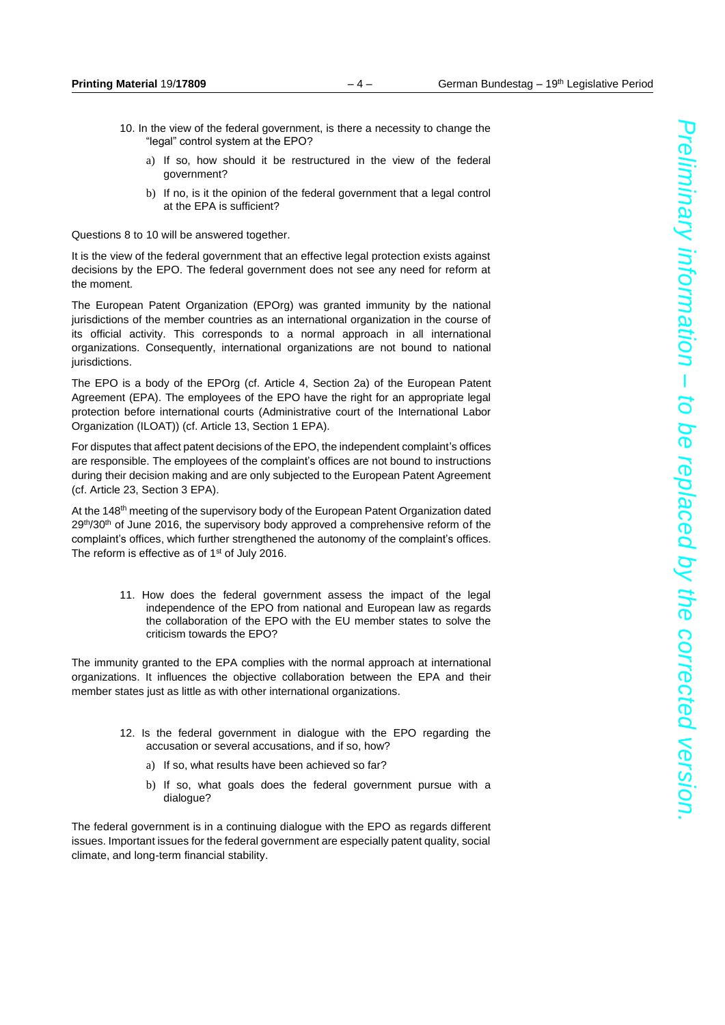- 10. In the view of the federal government, is there a necessity to change the "legal" control system at the EPO?
	- a) If so, how should it be restructured in the view of the federal government?
	- b) If no, is it the opinion of the federal government that a legal control at the EPA is sufficient?

Questions 8 to 10 will be answered together.

It is the view of the federal government that an effective legal protection exists against decisions by the EPO. The federal government does not see any need for reform at the moment.

The European Patent Organization (EPOrg) was granted immunity by the national jurisdictions of the member countries as an international organization in the course of its official activity. This corresponds to a normal approach in all international organizations. Consequently, international organizations are not bound to national jurisdictions.

The EPO is a body of the EPOrg (cf. Article 4, Section 2a) of the European Patent Agreement (EPA). The employees of the EPO have the right for an appropriate legal protection before international courts (Administrative court of the International Labor Organization (ILOAT)) (cf. Article 13, Section 1 EPA).

For disputes that affect patent decisions of the EPO, the independent complaint's offices are responsible. The employees of the complaint's offices are not bound to instructions during their decision making and are only subjected to the European Patent Agreement (cf. Article 23, Section 3 EPA).

At the 148<sup>th</sup> meeting of the supervisory body of the European Patent Organization dated  $29<sup>th</sup>/30<sup>th</sup>$  of June 2016, the supervisory body approved a comprehensive reform of the complaint's offices, which further strengthened the autonomy of the complaint's offices. The reform is effective as of 1<sup>st</sup> of July 2016.

> 11. How does the federal government assess the impact of the legal independence of the EPO from national and European law as regards the collaboration of the EPO with the EU member states to solve the criticism towards the EPO?

The immunity granted to the EPA complies with the normal approach at international organizations. It influences the objective collaboration between the EPA and their member states just as little as with other international organizations.

- 12. Is the federal government in dialogue with the EPO regarding the accusation or several accusations, and if so, how?
	- a) If so, what results have been achieved so far?
	- b) If so, what goals does the federal government pursue with a dialogue?

The federal government is in a continuing dialogue with the EPO as regards different issues. Important issues for the federal government are especially patent quality, social climate, and long-term financial stability.